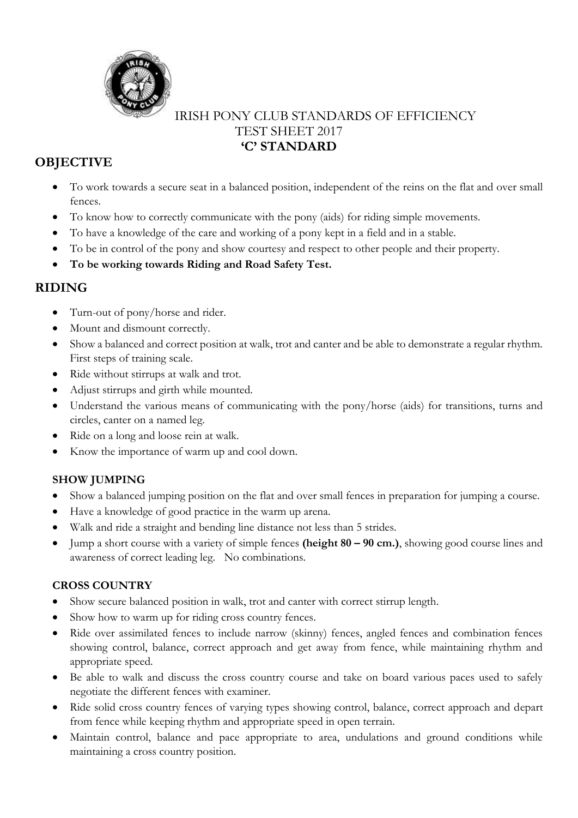

# IRISH PONY CLUB STANDARDS OF EFFICIENCY TEST SHEET 2017 **'C' STANDARD**

# **OBJECTIVE**

- To work towards a secure seat in a balanced position, independent of the reins on the flat and over small fences.
- To know how to correctly communicate with the pony (aids) for riding simple movements.
- To have a knowledge of the care and working of a pony kept in a field and in a stable.
- To be in control of the pony and show courtesy and respect to other people and their property.
- **To be working towards Riding and Road Safety Test.**

# **RIDING**

- Turn-out of pony/horse and rider.
- Mount and dismount correctly.
- Show a balanced and correct position at walk, trot and canter and be able to demonstrate a regular rhythm. First steps of training scale.
- Ride without stirrups at walk and trot.
- Adjust stirrups and girth while mounted.
- Understand the various means of communicating with the pony/horse (aids) for transitions, turns and circles, canter on a named leg.
- Ride on a long and loose rein at walk.
- Know the importance of warm up and cool down.

### **SHOW JUMPING**

- Show a balanced jumping position on the flat and over small fences in preparation for jumping a course.
- Have a knowledge of good practice in the warm up arena.
- Walk and ride a straight and bending line distance not less than 5 strides.
- Jump a short course with a variety of simple fences **(height 80 – 90 cm.)**, showing good course lines and awareness of correct leading leg. No combinations.

### **CROSS COUNTRY**

- Show secure balanced position in walk, trot and canter with correct stirrup length.
- Show how to warm up for riding cross country fences.
- Ride over assimilated fences to include narrow (skinny) fences, angled fences and combination fences showing control, balance, correct approach and get away from fence, while maintaining rhythm and appropriate speed.
- Be able to walk and discuss the cross country course and take on board various paces used to safely negotiate the different fences with examiner.
- Ride solid cross country fences of varying types showing control, balance, correct approach and depart from fence while keeping rhythm and appropriate speed in open terrain.
- Maintain control, balance and pace appropriate to area, undulations and ground conditions while maintaining a cross country position.